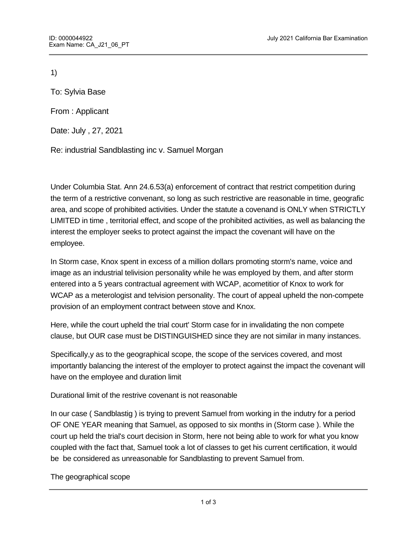1)

To: Sylvia Base

From : Applicant

Date: July , 27, 2021

Re: industrial Sandblasting inc v. Samuel Morgan

Under Columbia Stat. Ann 24.6.53(a) enforcement of contract that restrict competition during the term of a restrictive convenant, so long as such restrictive are reasonable in time, geografic area, and scope of prohibited activities. Under the statute a covenand is ONLY when STRICTLY LIMITED in time , territorial effect, and scope of the prohibited activities, as well as balancing the interest the employer seeks to protect against the impact the covenant will have on the employee.

In Storm case, Knox spent in excess of a million dollars promoting storm's name, voice and image as an industrial telivision personality while he was employed by them, and after storm entered into a 5 years contractual agreement with WCAP, acometitior of Knox to work for WCAP as a meterologist and telvision personality. The court of appeal upheld the non-compete provision of an employment contract between stove and Knox.

Here, while the court upheld the trial court' Storm case for in invalidating the non compete clause, but OUR case must be DISTINGUISHED since they are not similar in many instances.

Specifically,y as to the geographical scope, the scope of the services covered, and most importantly balancing the interest of the employer to protect against the impact the covenant will have on the employee and duration limit

Durational limit of the restrive covenant is not reasonable

In our case ( Sandblastig ) is trying to prevent Samuel from working in the indutry for a period OF ONE YEAR meaning that Samuel, as opposed to six months in (Storm case ). While the court up held the trial's court decision in Storm, here not being able to work for what you know coupled with the fact that, Samuel took a lot of classes to get his current certification, it would be be considered as unreasonable for Sandblasting to prevent Samuel from.

The geographical scope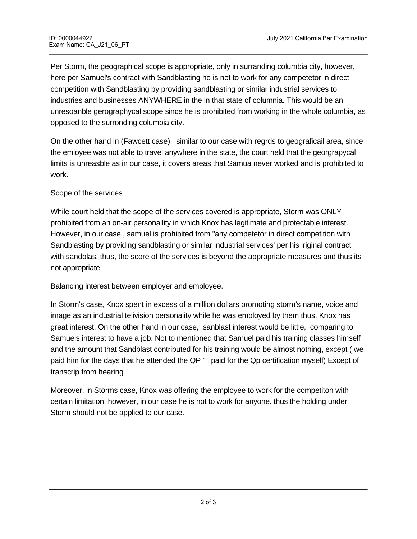Per Storm, the geographical scope is appropriate, only in surranding columbia city, however, here per Samuel's contract with Sandblasting he is not to work for any competetor in direct competition with Sandblasting by providing sandblasting or similar industrial services to industries and businesses ANYWHERE in the in that state of columnia. This would be an unresoanble gerographycal scope since he is prohibited from working in the whole columbia, as opposed to the surronding columbia city.

On the other hand in (Fawcett case), similar to our case with regrds to geograficail area, since the emloyee was not able to travel anywhere in the state, the court held that the georgrapycal limits is unreasble as in our case, it covers areas that Samua never worked and is prohibited to work.

## Scope of the services

While court held that the scope of the services covered is appropriate, Storm was ONLY prohibited from an on-air personallity in which Knox has legitimate and protectable interest. However, in our case , samuel is prohibited from "any competetor in direct competition with Sandblasting by providing sandblasting or similar industrial services' per his iriginal contract with sandblas, thus, the score of the services is beyond the appropriate measures and thus its not appropriate.

Balancing interest between employer and employee.

 $\overline{\phantom{a}}$  . The interaction  $\overline{\phantom{a}}$  final Word  $\overline{\phantom{a}}$  final Word  $\overline{\phantom{a}}$  final Word  $\overline{\phantom{a}}$ 

In Storm's case, Knox spent in excess of a million dollars promoting storm's name, voice and image as an industrial telivision personality while he was employed by them thus, Knox has great interest. On the other hand in our case, sanblast interest would be little, comparing to Samuels interest to have a job. Not to mentioned that Samuel paid his training classes himself and the amount that Sandblast contributed for his training would be almost nothing, except ( we paid him for the days that he attended the QP " i paid for the Qp certification myself) Except of transcrip from hearing

Moreover, in Storms case, Knox was offering the employee to work for the competiton with certain limitation, however, in our case he is not to work for anyone. thus the holding under Storm should not be applied to our case.